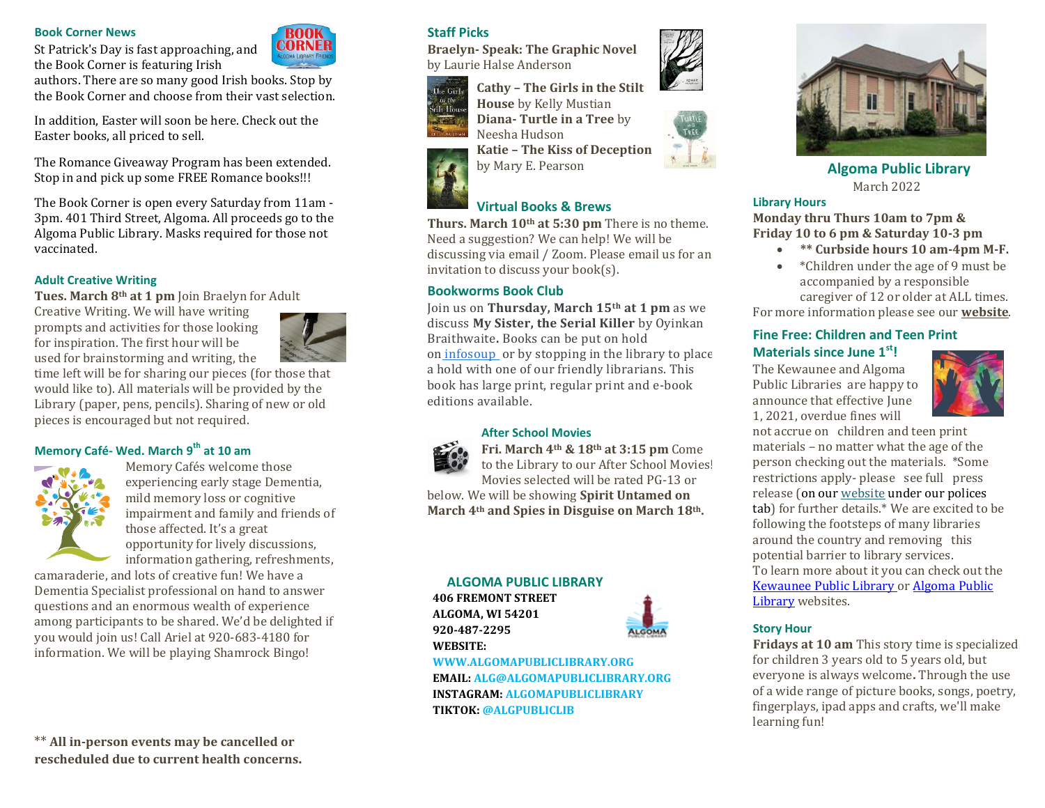#### **Book Corner News**

authors. There are so many good Irish books. Stop by the Book Corner and choose from their vast selection.

St Patrick's Day is fast approaching, and the Book Corner is featuring Irish

In addition, Easter will soon be here. Check out the Easter books, all priced to sell.

The Romance Giveaway Program has been extended. Stop in and pick up some FREE Romance books!!!

The Book Corner is open every Saturday from 11am - 3pm. 401 Third Street, Algoma. All proceeds go to the Algoma Public Library. Masks required for those not vaccinated.

## **Adult Creative Writing**

**Tues. March 8th at 1 pm** Join Braelyn for Adult

Creative Writing. We will have writing prompts and activities for those looking for inspiration. The first hour will be used for brainstorming and writing, the



time left will be for sharing our pieces (for those that would like to). All materials will be provided by the Library (paper, pens, pencils). Sharing of new or old pieces is encouraged but not required.

## **Memory Café- Wed. March 9 th at 10 am**



Memory Cafés welcome those experiencing early stage Dementia, mild memory loss or cognitive impairment and family and friends of those affected. It's a great opportunity for lively discussions, information gathering, refreshments,

camaraderie, and lots of creative fun! We have a Dementia Specialist professional on hand to answer questions and an enormous wealth of experience among participants to be shared. We'd be delighted if you would join us! Call Ariel at 920-683-4180 for information. We will be playing Shamrock Bingo!

\*\* **All in-person events may be cancelled or rescheduled due to current health concerns.**

# **Staff Picks**

**Braelyn- Speak: The Graphic Novel**  by Laurie Halse Anderson



**Cathy – The Girls in the Stilt House** by Kelly Mustian **Diana- Turtle in a Tree** by Neesha Hudson

**Katie – The Kiss of Deception** by Mary E. Pearson

# **Virtual Books & Brews**

**Thurs. March 10th at 5:30 pm** There is no theme. Need a suggestion? We can help! We will be discussing via email / Zoom. Please email us for an invitation to discuss your book(s).

## **Bookworms Book Club**

Join us on **Thursday, March 15th at 1 pm** as we discuss **My Sister, the Serial Killer** by Oyinkan Braithwaite**.** Books can be put on hold on [infosoup](https://www.google.com/url?q=https://owlsnetpac.carlconnect.com/?section%3Dsearch%26term%3DMy%2520Sister%252C%2520the%2520Serial%2520Killer%26page%3D0%26sortKey%3DRelevancy%26db%3Dls2pac%26branchFilters%3D%5B%5D%26facetFilters%3D%255B%255D&sa=D&source=calendar&usd=2&usg=AOvVaw0XJoaHJ9yJMrYSt6rtQw1L) or by stopping in the library to place a hold with one of our friendly librarians. This book has large print, regular print and e-book editions available.

#### **After School Movies**



**Fri. March 4th & 18th at 3:15 pm** Come to the Library to our After School Movies! Movies selected will be rated PG-13 or below. We will be showing **Spirit Untamed on March 4th and Spies in Disguise on March 18th.** 

#### **ALGOMA PUBLIC LIBRARY**

**406 FREMONT STREET ALGOMA, WI 54201 920-487-2295 WEBSITE:** 



**WWW.ALGOMAPUBLICLIBRARY.ORG EMAIL: ALG@ALGOMAPUBLICLIBRARY.ORG INSTAGRAM: ALGOMAPUBLICLIBRARY TIKTOK: @ALGPUBLICLIB**







**Algoma Public Library** March 2022

#### **Library Hours**

**Monday thru Thurs 10am to 7pm & Friday 10 to 6 pm & Saturday 10-3 pm**

- **\*\* Curbside hours 10 am-4pm M-F.**
- \*Children under the age of 9 must be accompanied by a responsible caregiver of 12 or older at ALL times.

For more information please see our **[website](https://www.algomapubliclibrary.org/reopening-plan.html)**.

## **Fine Free: Children and Teen Print**

# **Materials since June 1st!**

The Kewaunee and Algoma Public Libraries are happy to announce that effective June 1, 2021, overdue fines will



not accrue on children and teen print materials – no matter what the age of the person checking out the materials. \*Some restrictions apply- please see full press release (on ou[r website](https://www.algomapubliclibrary.org/fine-free-press-release.html) under our polices tab) for further details.\* We are excited to be following the footsteps of many libraries around the country and removing this potential barrier to library services. To learn more about it you can check out the [Kewaunee Public Library o](https://www.kewauneepubliclibrary.org/)r [Algoma Public](https://www.algomapubliclibrary.org/)  [Library](https://www.algomapubliclibrary.org/) websites.

#### **Story Hour**

**Fridays at 10 am** This story time is specialized for children 3 years old to 5 years old, but everyone is always welcome**.** Through the use of a wide range of picture books, songs, poetry, fingerplays, ipad apps and crafts, we'll make learning fun!